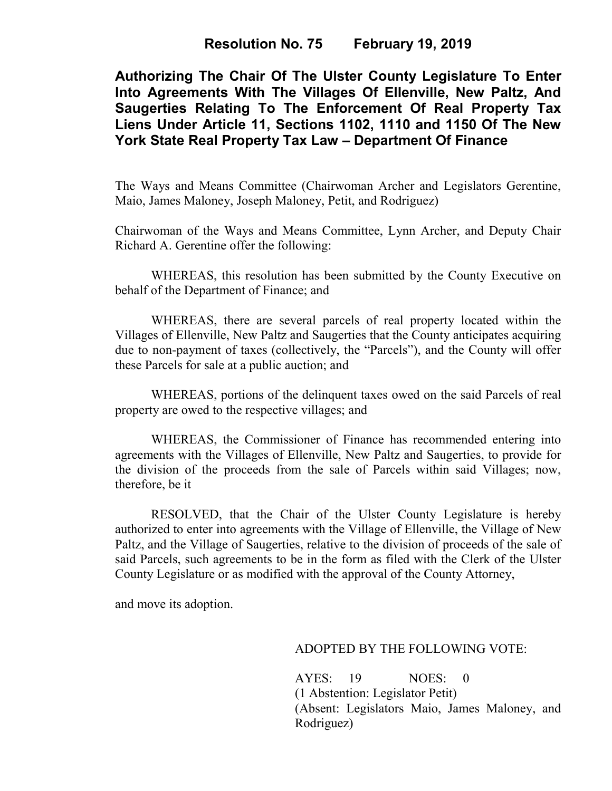## **Resolution No. 75 February 19, 2019**

**Authorizing The Chair Of The Ulster County Legislature To Enter Into Agreements With The Villages Of Ellenville, New Paltz, And Saugerties Relating To The Enforcement Of Real Property Tax Liens Under Article 11, Sections 1102, 1110 and 1150 Of The New York State Real Property Tax Law – Department Of Finance**

The Ways and Means Committee (Chairwoman Archer and Legislators Gerentine, Maio, James Maloney, Joseph Maloney, Petit, and Rodriguez)

Chairwoman of the Ways and Means Committee, Lynn Archer, and Deputy Chair Richard A. Gerentine offer the following:

WHEREAS, this resolution has been submitted by the County Executive on behalf of the Department of Finance; and

WHEREAS, there are several parcels of real property located within the Villages of Ellenville, New Paltz and Saugerties that the County anticipates acquiring due to non-payment of taxes (collectively, the "Parcels"), and the County will offer these Parcels for sale at a public auction; and

WHEREAS, portions of the delinquent taxes owed on the said Parcels of real property are owed to the respective villages; and

WHEREAS, the Commissioner of Finance has recommended entering into agreements with the Villages of Ellenville, New Paltz and Saugerties, to provide for the division of the proceeds from the sale of Parcels within said Villages; now, therefore, be it

RESOLVED, that the Chair of the Ulster County Legislature is hereby authorized to enter into agreements with the Village of Ellenville, the Village of New Paltz, and the Village of Saugerties, relative to the division of proceeds of the sale of said Parcels, such agreements to be in the form as filed with the Clerk of the Ulster County Legislature or as modified with the approval of the County Attorney,

and move its adoption.

## ADOPTED BY THE FOLLOWING VOTE:

AYES: 19 NOES: 0 (1 Abstention: Legislator Petit) (Absent: Legislators Maio, James Maloney, and Rodriguez)